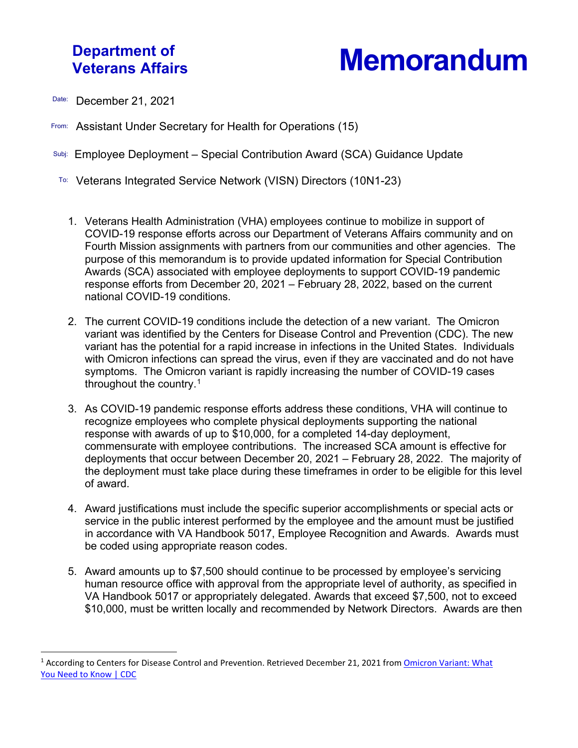## **Department of**

**Memorandum** 

- Date: December 21, 2021
- From: Assistant Under Secretary for Health for Operations (15)
- Subj: Employee Deployment Special Contribution Award (SCA) Guidance Update
- To: Veterans Integrated Service Network (VISN) Directors (10N1-23)
	- 1. Veterans Health Administration (VHA) employees continue to mobilize in support of COVID-19 response efforts across our Department of Veterans Affairs community and on Fourth Mission assignments with partners from our communities and other agencies. The purpose of this memorandum is to provide updated information for Special Contribution Awards (SCA) associated with employee deployments to support COVID-19 pandemic response efforts from December 20, 2021 – February 28, 2022, based on the current national COVID-19 conditions.
	- 2. The current COVID-19 conditions include the detection of a new variant. The Omicron variant was identified by the Centers for Disease Control and Prevention (CDC). The new variant has the potential for a rapid increase in infections in the United States. Individuals with Omicron infections can spread the virus, even if they are vaccinated and do not have symptoms. The Omicron variant is rapidly increasing the number of COVID-19 cases throughout the country.<sup>[1](#page-0-0)</sup>
	- 3. As COVID-19 pandemic response efforts address these conditions, VHA will continue to recognize employees who complete physical deployments supporting the national response with awards of up to \$10,000, for a completed 14-day deployment, commensurate with employee contributions. The increased SCA amount is effective for deployments that occur between December 20, 2021 – February 28, 2022. The majority of the deployment must take place during these timeframes in order to be eligible for this level of award.
	- 4. Award justifications must include the specific superior accomplishments or special acts or service in the public interest performed by the employee and the amount must be justified in accordance with VA Handbook 5017, Employee Recognition and Awards. Awards must be coded using appropriate reason codes.
	- 5. Award amounts up to \$7,500 should continue to be processed by employee's servicing human resource office with approval from the appropriate level of authority, as specified in VA Handbook 5017 or appropriately delegated. Awards that exceed \$7,500, not to exceed \$10,000, must be written locally and recommended by Network Directors. Awards are then

<span id="page-0-0"></span><sup>&</sup>lt;sup>1</sup> According to Centers for Disease Control and Prevention. Retrieved December 21, 2021 from Omicron Variant: What [You Need to Know | CDC](https://www.cdc.gov/coronavirus/2019-ncov/variants/omicron-variant.html)